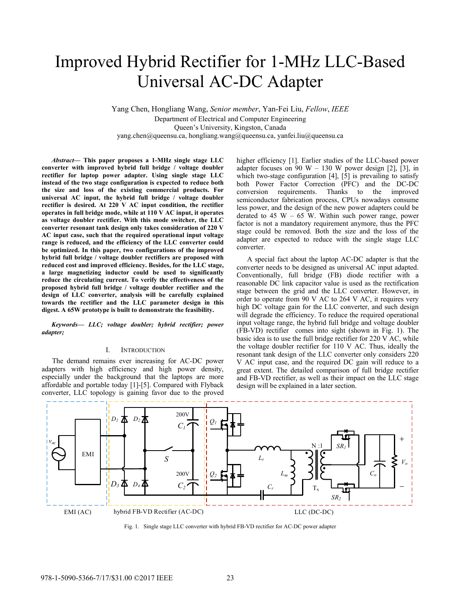# Improved Hybrid Rectifier for 1-MHz LLC-Based Universal AC-DC Adapter

Yang Chen, Hongliang Wang, *Senior member*, Yan-Fei Liu, *Fellow*, *IEEE* Department of Electrical and Computer Engineering Queen's University, Kingston, Canada yang.chen@queensu.ca, hongliang.wang@queensu.ca, yanfei.liu@queensu.ca

*Abstract***— This paper proposes a 1-MHz single stage LLC converter with improved hybrid full bridge / voltage doubler rectifier for laptop power adapter. Using single stage LLC instead of the two stage configuration is expected to reduce both the size and loss of the existing commercial products. For universal AC input, the hybrid full bridge / voltage doubler rectifier is desired. At 220 V AC input condition, the rectifier operates in full bridge mode, while at 110 V AC input, it operates as voltage doubler rectifier. With this mode switcher, the LLC converter resonant tank design only takes consideration of 220 V AC input case, such that the required operational input voltage range is reduced, and the efficiency of the LLC converter could be optimized. In this paper, two configurations of the improved hybrid full bridge / voltage doubler rectifiers are proposed with reduced cost and improved efficiency. Besides, for the LLC stage, a large magnetizing inductor could be used to significantly reduce the circulating current. To verify the effectiveness of the proposed hybrid full bridge / voltage doubler rectifier and the design of LLC converter, analysis will be carefully explained towards the rectifier and the LLC parameter design in this digest. A 65W prototype is built to demonstrate the feasibility.** 

*Keywords— LLC; voltage doubler; hybrid rectifier; power adapter;* 

## I. INTRODUCTION

The demand remains ever increasing for AC-DC power adapters with high efficiency and high power density, especially under the background that the laptops are more affordable and portable today [1]-[5]. Compared with Flyback converter, LLC topology is gaining favor due to the proved higher efficiency [1]. Earlier studies of the LLC-based power adapter focuses on 90 W – 130 W power design [2], [3], in which two-stage configuration [4], [5] is prevailing to satisfy both Power Factor Correction (PFC) and the DC-DC conversion requirements. Thanks to the improved semiconductor fabrication process, CPUs nowadays consume less power, and the design of the new power adapters could be derated to 45 W – 65 W. Within such power range, power factor is not a mandatory requirement anymore, thus the PFC stage could be removed. Both the size and the loss of the adapter are expected to reduce with the single stage LLC converter.

A special fact about the laptop AC-DC adapter is that the converter needs to be designed as universal AC input adapted. Conventionally, full bridge (FB) diode rectifier with a reasonable DC link capacitor value is used as the rectification stage between the grid and the LLC converter. However, in order to operate from 90 V AC to 264 V AC, it requires very high DC voltage gain for the LLC converter, and such design will degrade the efficiency. To reduce the required operational input voltage range, the hybrid full bridge and voltage doubler (FB-VD) rectifier comes into sight (shown in Fig. 1). The basic idea is to use the full bridge rectifier for 220 V AC, while the voltage doubler rectifier for 110 V AC. Thus, ideally the resonant tank design of the LLC converter only considers 220 V AC input case, and the required DC gain will reduce to a great extent. The detailed comparison of full bridge rectifier and FB-VD rectifier, as well as their impact on the LLC stage design will be explained in a later section.



Fig. 1. Single stage LLC converter with hybrid FB-VD rectifier for AC-DC power adapter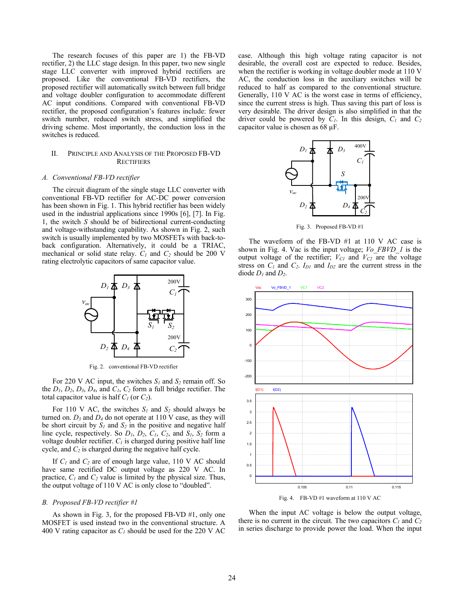The research focuses of this paper are 1) the FB-VD rectifier, 2) the LLC stage design. In this paper, two new single stage LLC converter with improved hybrid rectifiers are proposed. Like the conventional FB-VD rectifiers, the proposed rectifier will automatically switch between full bridge and voltage doubler configuration to accommodate different AC input conditions. Compared with conventional FB-VD rectifier, the proposed configuration's features include: fewer switch number, reduced switch stress, and simplified the driving scheme. Most importantly, the conduction loss in the switches is reduced.

## II. PRINCIPLE AND ANALYSIS OF THE PROPOSED FB-VD **RECTIFIERS**

## *A. Conventional FB-VD rectifier*

The circuit diagram of the single stage LLC converter with conventional FB-VD rectifier for AC-DC power conversion has been shown in Fig. 1. This hybrid rectifier has been widely used in the industrial applications since 1990s [6], [7]. In Fig. 1, the switch *S* should be of bidirectional current-conducting and voltage-withstanding capability. As shown in Fig. 2, such switch is usually implemented by two MOSFETs with back-toback configuration. Alternatively, it could be a TRIAC, mechanical or solid state relay.  $C_1$  and  $C_2$  should be 200 V rating electrolytic capacitors of same capacitor value.



Fig. 2. conventional FB-VD rectifier

For 220 V AC input, the switches  $S_l$  and  $S_2$  remain off. So the *D1*, *D2*, *D3*, *D4*, and *C1*, *C2* form a full bridge rectifier. The total capacitor value is half *C1* (or *C2*).

For 110 V AC, the switches  $S_l$  and  $S_2$  should always be turned on.  $D_3$  and  $D_4$  do not operate at 110 V case, as they will be short circuit by  $S_l$  and  $S_2$  in the positive and negative half line cycle, respectively. So  $D_1$ ,  $D_2$ ,  $C_1$ ,  $C_2$ , and  $S_1$ ,  $S_2$  form a voltage doubler rectifier.  $C_I$  is charged during positive half line cycle, and *C2* is charged during the negative half cycle.

If *C1* and *C2* are of enough large value, 110 V AC should have same rectified DC output voltage as 220 V AC. In practice,  $C_1$  and  $C_2$  value is limited by the physical size. Thus, the output voltage of 110 V AC is only close to "doubled".

## *B. Proposed FB-VD rectifier #1*

As shown in Fig. 3, for the proposed FB-VD #1, only one MOSFET is used instead two in the conventional structure. A 400 V rating capacitor as *C1* should be used for the 220 V AC case. Although this high voltage rating capacitor is not desirable, the overall cost are expected to reduce. Besides, when the rectifier is working in voltage doubler mode at 110 V AC, the conduction loss in the auxiliary switches will be reduced to half as compared to the conventional structure. Generally, 110 V AC is the worst case in terms of efficiency, since the current stress is high. Thus saving this part of loss is very desirable. The driver design is also simplified in that the driver could be powered by  $C_1$ . In this design,  $C_1$  and  $C_2$ capacitor value is chosen as 68 µF.



Fig. 3. Proposed FB-VD #1

The waveform of the FB-VD #1 at 110 V AC case is shown in Fig. 4. Vac is the input voltage; *Vo\_FBVD\_1* is the output voltage of the rectifier;  $V_{C1}$  and  $V_{C2}$  are the voltage stress on  $C_1$  and  $C_2$ .  $I_{D1}$  and  $I_{D2}$  are the current stress in the diode  $D_1$  and  $D_2$ .



When the input AC voltage is below the output voltage, there is no current in the circuit. The two capacitors  $C_1$  and  $C_2$ in series discharge to provide power the load. When the input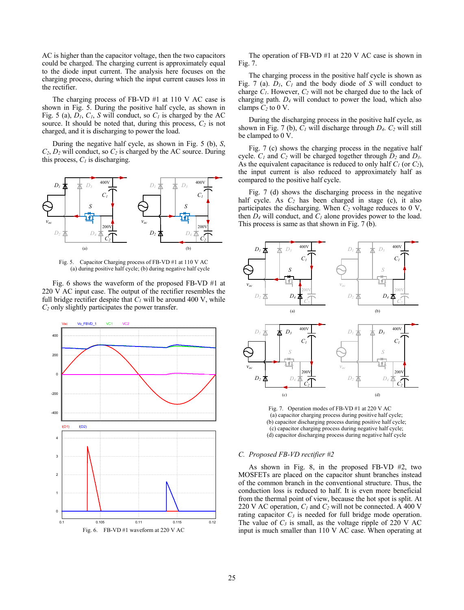AC is higher than the capacitor voltage, then the two capacitors could be charged. The charging current is approximately equal to the diode input current. The analysis here focuses on the charging process, during which the input current causes loss in the rectifier.

The charging process of FB-VD #1 at 110 V AC case is shown in Fig. 5. During the positive half cycle, as shown in Fig. 5 (a),  $D_1$ ,  $C_1$ , *S* will conduct, so  $C_1$  is charged by the AC source. It should be noted that, during this process,  $C_2$  is not charged, and it is discharging to power the load.

During the negative half cycle, as shown in Fig. 5 (b), *S*,  $C_2$ ,  $D_2$  will conduct, so  $C_2$  is charged by the AC source. During this process,  $C<sub>l</sub>$  is discharging.



Fig. 5. Capacitor Charging process of FB-VD #1 at 110 V AC (a) during positive half cycle; (b) during negative half cycle

Fig. 6 shows the waveform of the proposed FB-VD #1 at 220 V AC input case. The output of the rectifier resembles the full bridge rectifier despite that  $C<sub>1</sub>$  will be around 400 V, while *C2* only slightly participates the power transfer.



The operation of FB-VD #1 at 220 V AC case is shown in Fig. 7.

The charging process in the positive half cycle is shown as Fig. 7 (a).  $D_1$ ,  $C_1$  and the body diode of *S* will conduct to charge  $C_1$ . However,  $C_2$  will not be charged due to the lack of charging path. *D4* will conduct to power the load, which also clamps  $C_2$  to 0 V.

During the discharging process in the positive half cycle, as shown in Fig. 7 (b),  $C_1$  will discharge through  $D_4$ .  $C_2$  will still be clamped to 0 V.

Fig. 7 (c) shows the charging process in the negative half cycle. *C1* and *C2* will be charged together through *D2* and *D3*. As the equivalent capacitance is reduced to only half  $C_1$  (or  $C_2$ ), the input current is also reduced to approximately half as compared to the positive half cycle.

Fig. 7 (d) shows the discharging process in the negative half cycle. As  $C_2$  has been charged in stage (c), it also participates the discharging. When  $C_2$  voltage reduces to 0 V, then  $D_4$  will conduct, and  $C_1$  alone provides power to the load. This process is same as that shown in Fig. 7 (b).



Fig. 7. Operation modes of FB-VD #1 at 220 V AC (a) capacitor charging process during positive half cycle; (b) capacitor discharging process during positive half cycle; (c) capacitor charging process during negative half cycle; (d) capacitor discharging process during negative half cycle

## *C. Proposed FB-VD rectifier #2*

As shown in Fig. 8, in the proposed FB-VD #2, two MOSFETs are placed on the capacitor shunt branches instead of the common branch in the conventional structure. Thus, the conduction loss is reduced to half. It is even more beneficial from the thermal point of view, because the hot spot is split. At 220 V AC operation,  $C_1$  and  $C_2$  will not be connected. A 400 V rating capacitor  $C_3$  is needed for full bridge mode operation. The value of  $C_3$  is small, as the voltage ripple of 220 V AC input is much smaller than 110 V AC case. When operating at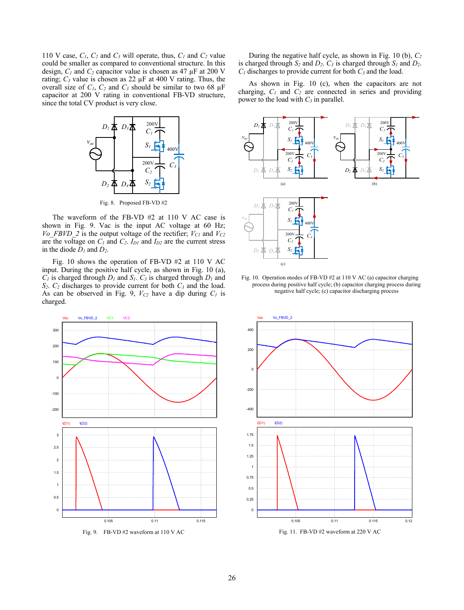110 V case,  $C_1$ ,  $C_2$  and  $C_3$  will operate, thus,  $C_1$  and  $C_2$  value could be smaller as compared to conventional structure. In this design,  $C_1$  and  $C_2$  capacitor value is chosen as 47  $\mu$ F at 200 V rating;  $C_3$  value is chosen as 22  $\mu$ F at 400 V rating. Thus, the overall size of  $C_1$ ,  $C_2$  and  $C_3$  should be similar to two 68  $\mu$ F capacitor at 200 V rating in conventional FB-VD structure, since the total CV product is very close.



Fig. 8. Proposed FB-VD #2

The waveform of the FB-VD #2 at 110 V AC case is shown in Fig. 9. Vac is the input AC voltage at 60 Hz; *Vo\_FBVD\_2* is the output voltage of the rectifier;  $V_{C1}$  and  $V_{C2}$ are the voltage on  $C_1$  and  $C_2$ .  $I_{D1}$  and  $I_{D2}$  are the current stress in the diode  $D_1$  and  $D_2$ .

Fig. 10 shows the operation of FB-VD #2 at 110 V AC input. During the positive half cycle, as shown in Fig. 10 (a),  $C_1$  is charged through  $D_1$  and  $S_1$ .  $C_3$  is charged through  $D_1$  and *S2*. *C2* discharges to provide current for both *C3* and the load. As can be observed in Fig. 9,  $V_{C2}$  have a dip during  $C_1$  is charged.



Fig. 9. FB-VD #2 waveform at 110 V AC

During the negative half cycle, as shown in Fig. 10 (b), *C2* is charged through  $S_2$  and  $D_2$ .  $C_3$  is charged through  $S_1$  and  $D_2$ .  $C_1$  discharges to provide current for both  $C_3$  and the load.

As shown in Fig. 10 (c), when the capacitors are not charging,  $C_1$  and  $C_2$  are connected in series and providing power to the load with  $C_3$  in parallel.



Fig. 10. Operation modes of FB-VD #2 at 110 V AC (a) capacitor charging process during positive half cycle; (b) capacitor charging process during negative half cycle; (c) capacitor discharging process



Fig. 11. FB-VD #2 waveform at 220 V AC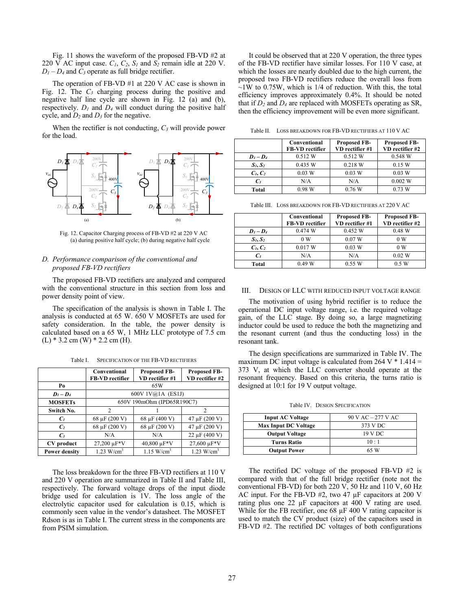Fig. 11 shows the waveform of the proposed FB-VD #2 at 220 V AC input case.  $C_1$ ,  $C_2$ ,  $S_1$  and  $S_2$  remain idle at 220 V.  $D_1 - D_4$  and  $C_3$  operate as full bridge rectifier.

The operation of FB-VD #1 at 220 V AC case is shown in Fig. 12. The *C3* charging process during the positive and negative half line cycle are shown in Fig. 12 (a) and (b), respectively.  $D_l$  and  $D_4$  will conduct during the positive half cycle, and  $D_2$  and  $D_3$  for the negative.

When the rectifier is not conducting, *C3* will provide power for the load.



Fig. 12. Capacitor Charging process of FB-VD #2 at 220 V AC (a) during positive half cycle; (b) during negative half cycle

# *D. Performance comparison of the conventional and proposed FB-VD rectifiers*

The proposed FB-VD rectifiers are analyzed and compared with the conventional structure in this section from loss and power density point of view.

The specification of the analysis is shown in Table I. The analysis is conducted at 65 W. 650 V MOSFETs are used for safety consideration. In the table, the power density is calculated based on a 65 W, 1 MHz LLC prototype of 7.5 cm  $(L) * 3.2$  cm  $(W) * 2.2$  cm  $(H)$ .

Table I. SPECIFICATION OF THE FB-VD RECTIFIERS

|                      | Conventional<br>FB-VD rectifier | <b>Proposed FB-</b><br>VD rectifier #1 | <b>Proposed FB-</b><br>VD rectifier #2 |
|----------------------|---------------------------------|----------------------------------------|----------------------------------------|
| Po                   | 65W                             |                                        |                                        |
| $D_1 - D_4$          | 600V $1V@1A$ (ES1J)             |                                        |                                        |
| <b>MOSFETs</b>       | 650V 190mOhm (IPD65R190C7)      |                                        |                                        |
| Switch No.           | 2                               |                                        | $\mathcal{L}$                          |
| C <sub>1</sub>       | 68 µF (200 V)                   | 68 µF (400 V)                          | 47 µF (200 V)                          |
| C <sub>2</sub>       | 68 µF (200 V)                   | 68 µF (200 V)                          | 47 µF (200 V)                          |
| $C_3$                | N/A                             | N/A                                    | $22 \mu F (400 V)$                     |
| CV product           | 27,200 µF*V                     | 40,800 µF*V                            | 27,600 µF*V                            |
| <b>Power density</b> | $1.23$ W/cm <sup>3</sup>        | 1.15 W/cm <sup>3</sup>                 | $1.23$ W/cm <sup>3</sup>               |

The loss breakdown for the three FB-VD rectifiers at 110 V and 220 V operation are summarized in Table II and Table III, respectively. The forward voltage drops of the input diode bridge used for calculation is 1V. The loss angle of the electrolytic capacitor used for calculation is 0.15, which is commonly seen value in the vendor's datasheet. The MOSFET Rdson is as in Table I. The current stress in the components are from PSIM simulation.

It could be observed that at 220 V operation, the three types of the FB-VD rectifier have similar losses. For 110 V case, at which the losses are nearly doubled due to the high current, the proposed two FB-VD rectifiers reduce the overall loss from  $\sim$ 1W to 0.75W, which is 1/4 of reduction. With this, the total efficiency improves approximately 0.4%. It should be noted that if  $D_2$  and  $D_4$  are replaced with MOSFETs operating as SR, then the efficiency improvement will be even more significant.

Table II. LOSS BREAKDOWN FOR FB-VD RECTIFIERS AT 110 V AC

|                 | Conventional<br><b>FB-VD</b> rectifier | <b>Proposed FB-</b><br>VD rectifier #1 | <b>Proposed FB-</b><br>VD rectifier #2 |
|-----------------|----------------------------------------|----------------------------------------|----------------------------------------|
| $D_1 - D_4$     | 0.512 W                                | 0.512 W                                | 0.548 W                                |
| $S_1, S_2$      | 0.435 W                                | 0.218 W                                | 0.15 W                                 |
| $C_1, C_2$      | 0.03 W                                 | 0.03 W                                 | 0.03 W                                 |
| $\mathcal{C}_3$ | N/A                                    | N/A                                    | 0.002 W                                |
| Total           | 0.98 W                                 | 0.76 W                                 | 0.73 W                                 |

Table III. LOSS BREAKDOWN FOR FB-VD RECTIFIERS AT 220 V AC

|                 | Conventional<br><b>FB-VD</b> rectifier | <b>Proposed FB-</b><br>VD rectifier #1 | <b>Proposed FB-</b><br>VD rectifier #2 |
|-----------------|----------------------------------------|----------------------------------------|----------------------------------------|
| $D_1 - D_4$     | 0.474 W                                | 0.452 W                                | 0.48 W                                 |
| $S_1, S_2$      | 0 W                                    | 0.07 W                                 | 0 W                                    |
| $C_1, C_2$      | 0.017 W                                | 0.03 W                                 | 0 W                                    |
| $\mathcal{C}_3$ | N/A                                    | N/A                                    | $0.02$ W                               |
| Total           | 0.49 W                                 | 0.55 W                                 | 0.5 W                                  |

#### III. DESIGN OF LLC WITH REDUCED INPUT VOLTAGE RANGE

The motivation of using hybrid rectifier is to reduce the operational DC input voltage range, i.e. the required voltage gain, of the LLC stage. By doing so, a large magnetizing inductor could be used to reduce the both the magnetizing and the resonant current (and thus the conducting loss) in the resonant tank.

The design specifications are summarized in Table IV. The maximum DC input voltage is calculated from  $264$  V  $*$  1.414 = 373 V, at which the LLC converter should operate at the resonant frequency. Based on this criteria, the turns ratio is designed at 10:1 for 19 V output voltage.

Table IV. DESIGN SPECIFICATION

| <b>Input AC Voltage</b>     | 90 V AC – 277 V AC |  |
|-----------------------------|--------------------|--|
| <b>Max Input DC Voltage</b> | 373 V DC           |  |
| <b>Output Voltage</b>       | 19 V DC            |  |
| <b>Turns Ratio</b>          | $10 \cdot 1$       |  |
| <b>Output Power</b>         | 65 W               |  |

The rectified DC voltage of the proposed FB-VD #2 is compared with that of the full bridge rectifier (note not the conventional FB-VD) for both 220 V, 50 Hz and 110 V, 60 Hz AC input. For the FB-VD #2, two 47 µF capacitors at 200 V rating plus one 22 µF capacitors at 400 V rating are used. While for the FB rectifier, one 68  $\mu$ F 400 V rating capacitor is used to match the CV product (size) of the capacitors used in FB-VD #2. The rectified DC voltages of both configurations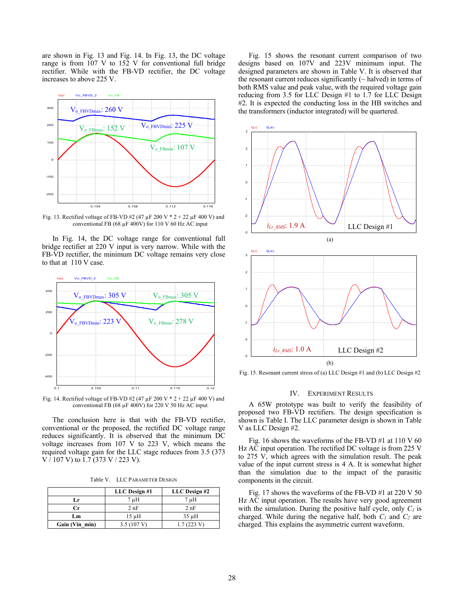are shown in Fig. 13 and Fig. 14. In Fig. 13, the DC voltage range is from 107 V to 152 V for conventional full bridge rectifier. While with the FB-VD rectifier, the DC voltage increases to above 225 V.



Fig. 13. Rectified voltage of FB-VD #2 (47  $\mu$ F 200 V \* 2 + 22  $\mu$ F 400 V) and conventional FB (68  $\mu$ F 400V) for 110 V 60 Hz AC input

In Fig. 14, the DC voltage range for conventional full bridge rectifier at 220 V input is very narrow. While with the FB-VD rectifier, the minimum DC voltage remains very close to that at 110 V case.



Fig. 14. Rectified voltage of FB-VD #2 (47  $\mu$ F 200 V \* 2 + 22  $\mu$ F 400 V) and conventional FB (68 µF 400V) for 220 V 50 Hz AC input

The conclusion here is that with the FB-VD rectifier, conventional or the proposed, the rectified DC voltage range reduces significantly. It is observed that the minimum DC voltage increases from 107 V to 223 V, which means the required voltage gain for the LLC stage reduces from 3.5 (373 V / 107 V) to 1.7 (373 V / 223 V).

Table V. LLC PARAMETER DESIGN

|                | LLC Design #1        | LLC Design #2 |
|----------------|----------------------|---------------|
| Lr             | 7 µH                 | 7 µH          |
| Сr             | 2nF                  | 2nF           |
| Lm             | 15 uH                | $35 \mu H$    |
| Gain (Vin min) | $3.5(107 \text{ V})$ | 1.7(223 V)    |

Fig. 15 shows the resonant current comparison of two designs based on 107V and 223V minimum input. The designed parameters are shown in Table V. It is observed that the resonant current reduces significantly  $(\sim$  halved) in terms of both RMS value and peak value, with the required voltage gain reducing from 3.5 for LLC Design #1 to 1.7 for LLC Design #2. It is expected the conducting loss in the HB switches and the transformers (inductor integrated) will be quartered.



Fig. 15. Resonant current stress of (a) LLC Design #1 and (b) LLC Design #2

## IV. EXPERIMENT RESULTS

A 65W prototype was built to verify the feasibility of proposed two FB-VD rectifiers. The design specification is shown is Table I. The LLC parameter design is shown in Table V as LLC Design #2.

Fig. 16 shows the waveforms of the FB-VD  $#1$  at 110 V 60 Hz AC input operation. The rectified DC voltage is from 225 V to 275 V, which agrees with the simulation result. The peak value of the input current stress is 4 A. It is somewhat higher than the simulation due to the impact of the parasitic components in the circuit.

Fig. 17 shows the waveforms of the FB-VD #1 at 220 V 50 Hz AC input operation. The results have very good agreement with the simulation. During the positive half cycle, only  $C<sub>l</sub>$  is charged. While during the negative half, both  $C_I$  and  $C_2$  are charged. This explains the asymmetric current waveform.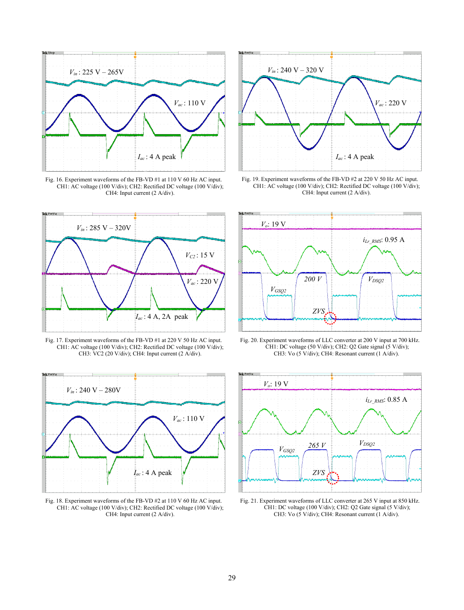

Fig. 16. Experiment waveforms of the FB-VD #1 at 110 V 60 Hz AC input. CH1: AC voltage (100 V/div); CH2: Rectified DC voltage (100 V/div); CH4: Input current (2 A/div).



Fig. 17. Experiment waveforms of the FB-VD #1 at 220 V 50 Hz AC input. CH1: AC voltage (100 V/div); CH2: Rectified DC voltage (100 V/div); CH3: VC2 (20 V/div); CH4: Input current (2 A/div).



Fig. 18. Experiment waveforms of the FB-VD #2 at 110 V 60 Hz AC input. CH1: AC voltage (100 V/div); CH2: Rectified DC voltage (100 V/div); CH4: Input current (2 A/div).



Fig. 19. Experiment waveforms of the FB-VD #2 at 220 V 50 Hz AC input. CH1: AC voltage (100 V/div); CH2: Rectified DC voltage (100 V/div); CH4: Input current (2 A/div).



Fig. 20. Experiment waveforms of LLC converter at 200 V input at 700 kHz. CH1: DC voltage (50 V/div); CH2: Q2 Gate signal (5 V/div); CH3: Vo (5 V/div); CH4: Resonant current (1 A/div).



Fig. 21. Experiment waveforms of LLC converter at 265 V input at 850 kHz. CH1: DC voltage (100 V/div); CH2: Q2 Gate signal (5 V/div); CH3: Vo (5 V/div); CH4: Resonant current (1 A/div).